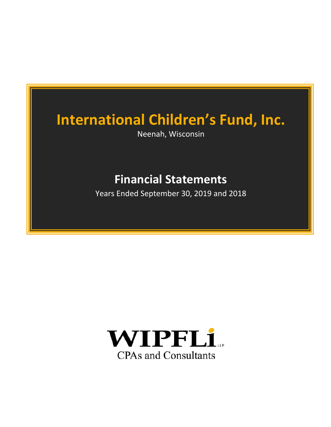Neenah, Wisconsin

# **Financial Statements**

Years Ended September 30, 2019 and 2018

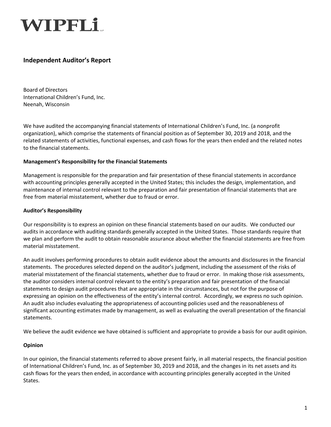# WIPFLi..

# **Independent Auditor's Report**

Board of Directors International Children's Fund, Inc. Neenah, Wisconsin

We have audited the accompanying financial statements of International Children's Fund, Inc. (a nonprofit organization), which comprise the statements of financial position as of September 30, 2019 and 2018, and the related statements of activities, functional expenses, and cash flows for the years then ended and the related notes to the financial statements.

### **Management's Responsibility for the Financial Statements**

Management is responsible for the preparation and fair presentation of these financial statements in accordance with accounting principles generally accepted in the United States; this includes the design, implementation, and maintenance of internal control relevant to the preparation and fair presentation of financial statements that are free from material misstatement, whether due to fraud or error.

### **Auditor's Responsibility**

Our responsibility is to express an opinion on these financial statements based on our audits. We conducted our audits in accordance with auditing standards generally accepted in the United States. Those standards require that we plan and perform the audit to obtain reasonable assurance about whether the financial statements are free from material misstatement.

An audit involves performing procedures to obtain audit evidence about the amounts and disclosures in the financial statements. The procedures selected depend on the auditor's judgment, including the assessment of the risks of material misstatement of the financial statements, whether due to fraud or error. In making those risk assessments, the auditor considers internal control relevant to the entity's preparation and fair presentation of the financial statements to design audit procedures that are appropriate in the circumstances, but not for the purpose of expressing an opinion on the effectiveness of the entity's internal control. Accordingly, we express no such opinion. An audit also includes evaluating the appropriateness of accounting policies used and the reasonableness of significant accounting estimates made by management, as well as evaluating the overall presentation of the financial statements.

We believe the audit evidence we have obtained is sufficient and appropriate to provide a basis for our audit opinion.

#### **Opinion**

In our opinion, the financial statements referred to above present fairly, in all material respects, the financial position of International Children's Fund, Inc. as of September 30, 2019 and 2018, and the changes in its net assets and its cash flows for the years then ended, in accordance with accounting principles generally accepted in the United States.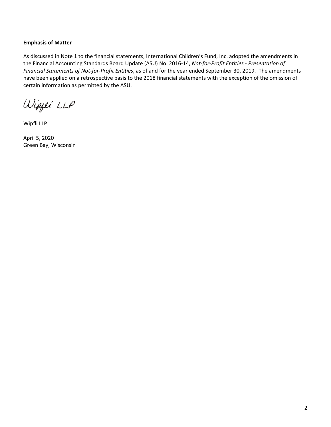### **Emphasis of Matter**

As discussed in Note 1 to the financial statements, International Children's Fund, Inc. adopted the amendments in the Financial Accounting Standards Board Update (ASU) No. 2016‐14, *Not‐for‐Profit Entities ‐ Presentation of Financial Statements of Not‐for‐Profit Entities*, as of and for the year ended September 30, 2019. The amendments have been applied on a retrospective basis to the 2018 financial statements with the exception of the omission of certain information as permitted by the ASU.

Wippei LLP

Wipfli LLP

April 5, 2020 Green Bay, Wisconsin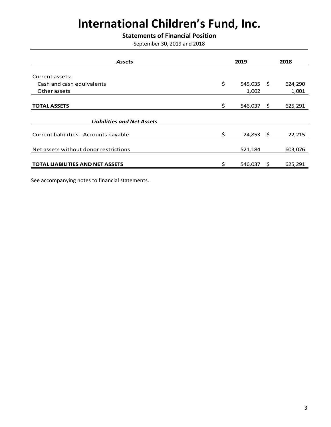### **Statements of Financial Position**

September 30, 2019 and 2018

|    | 2019     |    | 2018                        |  |
|----|----------|----|-----------------------------|--|
|    |          |    |                             |  |
|    |          |    |                             |  |
|    |          |    | 624,290                     |  |
|    | 1,002    |    | 1,001                       |  |
|    |          |    |                             |  |
| Š. | 546,037  | \$ | 625,291                     |  |
|    |          |    |                             |  |
|    |          |    |                             |  |
|    |          |    | 22,215                      |  |
|    |          |    |                             |  |
|    | 521,184  |    | 603,076                     |  |
|    |          |    |                             |  |
| ς. | 546,037  | \$ | 625,291                     |  |
|    | \$<br>\$ |    | $545,035$ \$<br>$24,853$ \$ |  |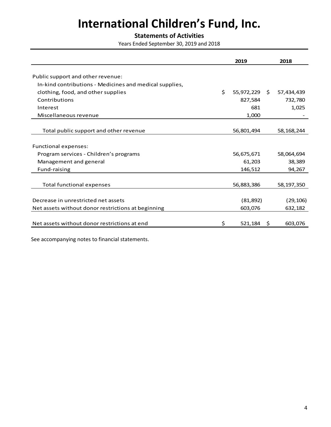## **Statements of Activities**

Years Ended September 30, 2019 and 2018

|                                                         | 2019                |   | 2018         |
|---------------------------------------------------------|---------------------|---|--------------|
|                                                         |                     |   |              |
| Public support and other revenue:                       |                     |   |              |
| In-kind contributions - Medicines and medical supplies, |                     |   |              |
| clothing, food, and other supplies                      | \$<br>55,972,229 \$ |   | 57,434,439   |
| Contributions                                           | 827,584             |   | 732,780      |
| Interest                                                | 681                 |   | 1,025        |
| Miscellaneous revenue                                   | 1,000               |   |              |
|                                                         |                     |   |              |
| Total public support and other revenue                  | 56,801,494          |   | 58, 168, 244 |
|                                                         |                     |   |              |
| <b>Functional expenses:</b>                             |                     |   |              |
| Program services - Children's programs                  | 56,675,671          |   | 58,064,694   |
| Management and general                                  | 61,203              |   | 38,389       |
| Fund-raising                                            | 146,512             |   | 94,267       |
|                                                         |                     |   |              |
| <b>Total functional expenses</b>                        | 56,883,386          |   | 58,197,350   |
|                                                         |                     |   |              |
| Decrease in unrestricted net assets                     | (81, 892)           |   | (29, 106)    |
| Net assets without donor restrictions at beginning      | 603,076             |   | 632,182      |
|                                                         |                     |   |              |
| Net assets without donor restrictions at end            | \$<br>521,184       | Ŝ | 603,076      |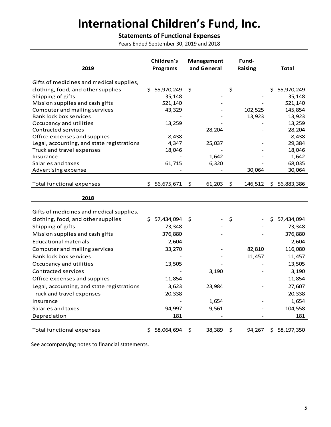# **Statements of Functional Expenses**

Years Ended September 30, 2019 and 2018

|                                                       | Children's       | Management   | Fund-          |                  |
|-------------------------------------------------------|------------------|--------------|----------------|------------------|
| 2019                                                  | <b>Programs</b>  | and General  | <b>Raising</b> | Total            |
|                                                       |                  |              |                |                  |
| Gifts of medicines and medical supplies,              |                  |              |                |                  |
| clothing, food, and other supplies                    | 55,970,249<br>Ś. | \$           | \$             | \$<br>55,970,249 |
| Shipping of gifts                                     | 35,148           |              |                | 35,148           |
| Mission supplies and cash gifts                       | 521,140          |              |                | 521,140          |
| Computer and mailing services                         | 43,329           |              | 102,525        | 145,854          |
| <b>Bank lock box services</b>                         |                  |              | 13,923         | 13,923           |
| Occupancy and utilities<br><b>Contracted services</b> | 13,259           |              |                | 13,259           |
| Office expenses and supplies                          | 8,438            | 28,204       |                | 28,204<br>8,438  |
| Legal, accounting, and state registrations            | 4,347            | 25,037       |                | 29,384           |
| Truck and travel expenses                             | 18,046           |              |                | 18,046           |
| Insurance                                             |                  | 1,642        |                | 1,642            |
| Salaries and taxes                                    | 61,715           | 6,320        |                | 68,035           |
| Advertising expense                                   |                  |              | 30,064         | 30,064           |
|                                                       |                  |              |                |                  |
| <b>Total functional expenses</b>                      | 56,675,671<br>S  | \$<br>61,203 | \$<br>146,512  | 56,883,386<br>S. |
|                                                       |                  |              |                |                  |
| 2018                                                  |                  |              |                |                  |
|                                                       |                  |              |                |                  |
| Gifts of medicines and medical supplies,              |                  |              |                |                  |
| clothing, food, and other supplies                    | 57,434,094<br>Ś. | S            | \$             | Ś.<br>57,434,094 |
| Shipping of gifts                                     | 73,348           |              |                | 73,348           |
| Mission supplies and cash gifts                       | 376,880          |              |                | 376,880          |
| <b>Educational materials</b>                          | 2,604            |              |                | 2,604            |
| Computer and mailing services                         | 33,270           |              | 82,810         | 116,080          |
| Bank lock box services                                |                  |              | 11,457         | 11,457           |
| Occupancy and utilities                               | 13,505           |              |                | 13,505           |
| <b>Contracted services</b>                            |                  | 3,190        |                | 3,190            |
| Office expenses and supplies                          | 11,854           |              |                | 11,854           |
| Legal, accounting, and state registrations            | 3,623            | 23,984       |                | 27,607           |
| Truck and travel expenses                             | 20,338           |              |                | 20,338           |
| Insurance                                             |                  | 1,654        |                | 1,654            |
| Salaries and taxes                                    | 94,997           | 9,561        |                | 104,558          |
| Depreciation                                          | 181              |              |                | 181              |
|                                                       |                  |              |                |                  |
| <b>Total functional expenses</b>                      | 58,064,694<br>S. | 38,389<br>\$ | \$<br>94,267   | \$58,197,350     |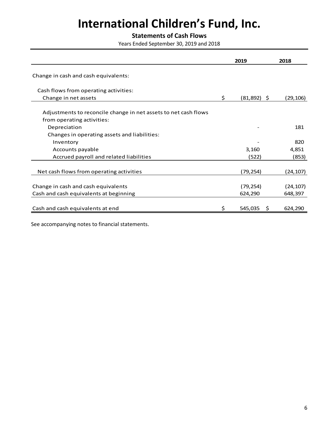## **Statements of Cash Flows**

Years Ended September 30, 2019 and 2018

|                                                                                               | 2019                 | 2018      |
|-----------------------------------------------------------------------------------------------|----------------------|-----------|
| Change in cash and cash equivalents:                                                          |                      |           |
| Cash flows from operating activities:                                                         |                      |           |
| Change in net assets                                                                          | \$<br>$(81,892)$ \$  | (29, 106) |
| Adjustments to reconcile change in net assets to net cash flows<br>from operating activities: |                      |           |
| Depreciation                                                                                  |                      | 181       |
| Changes in operating assets and liabilities:                                                  |                      |           |
| Inventory                                                                                     |                      | 820       |
| Accounts payable                                                                              | 3,160                | 4,851     |
| Accrued payroll and related liabilities                                                       | (522)                | (853)     |
| Net cash flows from operating activities                                                      | (79, 254)            | (24, 107) |
| Change in cash and cash equivalents                                                           | (79, 254)            | (24, 107) |
| Cash and cash equivalents at beginning                                                        | 624,290              | 648,397   |
| Cash and cash equivalents at end                                                              | \$<br>545,035<br>\$. | 624,290   |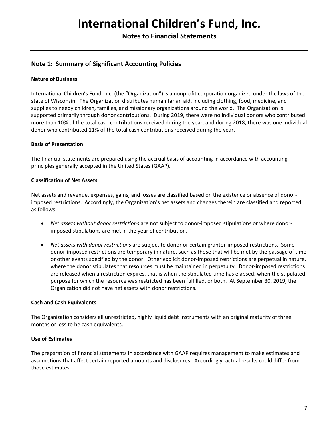**Notes to Financial Statements** 

### **Note 1: Summary of Significant Accounting Policies**

### **Nature of Business**

International Children's Fund, Inc. (the "Organization") is a nonprofit corporation organized under the laws of the state of Wisconsin. The Organization distributes humanitarian aid, including clothing, food, medicine, and supplies to needy children, families, and missionary organizations around the world. The Organization is supported primarily through donor contributions. During 2019, there were no individual donors who contributed more than 10% of the total cash contributions received during the year, and during 2018, there was one individual donor who contributed 11% of the total cash contributions received during the year.

#### **Basis of Presentation**

The financial statements are prepared using the accrual basis of accounting in accordance with accounting principles generally accepted in the United States (GAAP).

#### **Classification of Net Assets**

Net assets and revenue, expenses, gains, and losses are classified based on the existence or absence of donor‐ imposed restrictions. Accordingly, the Organization's net assets and changes therein are classified and reported as follows:

- *Net assets without donor restrictions* are not subject to donor‐imposed stipulations or where donor‐ imposed stipulations are met in the year of contribution.
- *Net assets with donor restrictions* are subject to donor or certain grantor‐imposed restrictions. Some donor‐imposed restrictions are temporary in nature, such as those that will be met by the passage of time or other events specified by the donor. Other explicit donor‐imposed restrictions are perpetual in nature, where the donor stipulates that resources must be maintained in perpetuity. Donor-imposed restrictions are released when a restriction expires, that is when the stipulated time has elapsed, when the stipulated purpose for which the resource was restricted has been fulfilled, or both. At September 30, 2019, the Organization did not have net assets with donor restrictions.

#### **Cash and Cash Equivalents**

The Organization considers all unrestricted, highly liquid debt instruments with an original maturity of three months or less to be cash equivalents.

### **Use of Estimates**

The preparation of financial statements in accordance with GAAP requires management to make estimates and assumptions that affect certain reported amounts and disclosures. Accordingly, actual results could differ from those estimates.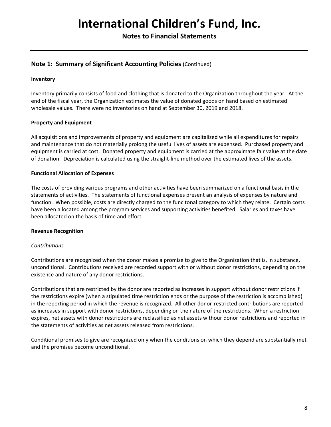**Notes to Financial Statements** 

### **Note 1: Summary of Significant Accounting Policies** (Continued)

#### **Inventory**

Inventory primarily consists of food and clothing that is donated to the Organization throughout the year. At the end of the fiscal year, the Organization estimates the value of donated goods on hand based on estimated wholesale values. There were no inventories on hand at September 30, 2019 and 2018.

### **Property and Equipment**

All acquisitions and improvements of property and equipment are capitalized while all expenditures for repairs and maintenance that do not materially prolong the useful lives of assets are expensed. Purchased property and equipment is carried at cost. Donated property and equipment is carried at the approximate fair value at the date of donation. Depreciation is calculated using the straight‐line method over the estimated lives of the assets.

#### **Functional Allocation of Expenses**

The costs of providing various programs and other activities have been summarized on a functional basis in the statements of activities. The statements of functional expenses present an analysis of expenses by nature and function. When possible, costs are directly charged to the funcitonal category to which they relate. Certain costs have been allocated among the program services and supporting activities benefited. Salaries and taxes have been allocated on the basis of time and effort.

#### **Revenue Recognition**

#### *Contributions*

Contributions are recognized when the donor makes a promise to give to the Organization that is, in substance, unconditional. Contributions received are recorded support with or without donor restrictions, depending on the existence and nature of any donor restrictions.

Contributions that are restricted by the donor are reported as increases in support without donor restrictions if the restrictions expire (when a stipulated time restriction ends or the purpose of the restriction is accomplished) in the reporting period in which the revenue is recognized. All other donor-restricted contributions are reported as increases in support with donor restrictions, depending on the nature of the restrictions. When a restriction expires, net assets with donor restrictions are reclassified as net assets withour donor restrictions and reported in the statements of activities as net assets released from restrictions.

Conditional promises to give are recognized only when the conditions on which they depend are substantially met and the promises become unconditional.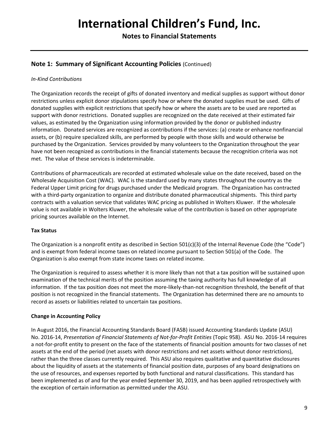**Notes to Financial Statements** 

### **Note 1: Summary of Significant Accounting Policies** (Continued)

### *In‐Kind Contributions*

The Organization records the receipt of gifts of donated inventory and medical supplies as support without donor restrictions unless explicit donor stipulations specify how or where the donated supplies must be used. Gifts of donated supplies with explicit restrictions that specify how or where the assets are to be used are reported as support with donor restrictions. Donated supplies are recognized on the date received at their estimated fair values, as estimated by the Organization using information provided by the donor or published industry information. Donated services are recognized as contributions if the services: (a) create or enhance nonfinancial assets, or (b) require specialized skills, are performed by people with those skills and would otherwise be purchased by the Organization. Services provided by many volunteers to the Organization throughout the year have not been recognized as contributions in the financial statements because the recognition criteria was not met. The value of these services is indeterminable.

Contributions of pharmaceuticals are recorded at estimated wholesale value on the date received, based on the Wholesale Acquisition Cost (WAC). WAC is the standard used by many states throughout the country as the Federal Upper Limit pricing for drugs purchased under the Medicaid program. The Organization has contracted with a third-party organization to organize and distribute donated pharmaceutical shipments. This third party contracts with a valuation service that validates WAC pricing as published in Wolters Kluwer. If the wholesale value is not available in Wolters Kluwer, the wholesale value of the contribution is based on other appropriate pricing sources available on the Internet.

### **Tax Status**

The Organization is a nonprofit entity as described in Section 501(c)(3) of the Internal Revenue Code (the "Code") and is exempt from federal income taxes on related income pursuant to Section 501(a) of the Code. The Organization is also exempt from state income taxes on related income.

The Organization is required to assess whether it is more likely than not that a tax position will be sustained upon examination of the technical merits of the position assuming the taxing authority has full knowledge of all information. If the tax position does not meet the more-likely-than-not recognition threshold, the benefit of that position is not recognized in the financial statements. The Organization has determined there are no amounts to record as assets or liabilities related to uncertain tax positions.

### **Change in Accounting Policy**

In August 2016, the Financial Accounting Standards Board (FASB) issued Accounting Standards Update (ASU) No. 2016‐14, *Presentation of Financial Statements of Not‐for‐Profit Entities* (Topic 958). ASU No. 2016‐14 requires a not-for-profit entity to present on the face of the statements of financial position amounts for two classes of net assets at the end of the period (net assets with donor restrictions and net assets without donor restrictions), rather than the three classes currently required. This ASU also requires qualitative and quantitative disclosures about the liquidity of assets at the statements of financial position date, purposes of any board designations on the use of resources, and expenses reported by both functional and natural classifications. This standard has been implemented as of and for the year ended September 30, 2019, and has been applied retrospectively with the exception of certain information as permitted under the ASU.